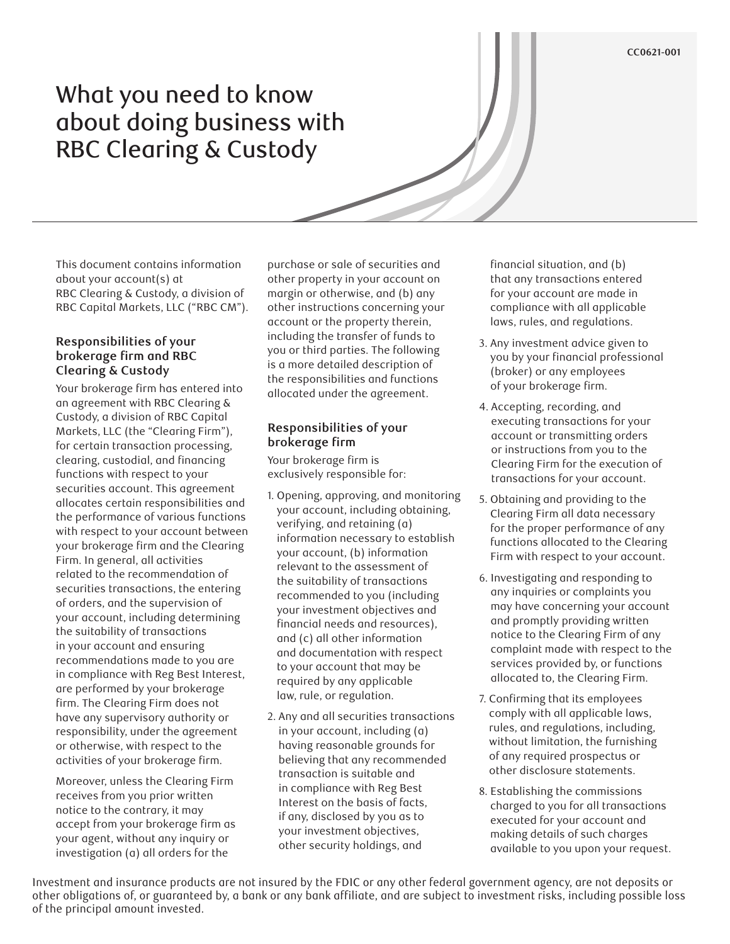#### **CC0621-001**

# What you need to know about doing business with RBC Clearing & Custody

This document contains information about your account(s) at RBC Clearing & Custody, a division of RBC Capital Markets, LLC ("RBC CM").

#### **Responsibilities of your brokerage firm and RBC Clearing & Custody**

Your brokerage firm has entered into an agreement with RBC Clearing & Custody, a division of RBC Capital Markets, LLC (the "Clearing Firm"), for certain transaction processing, clearing, custodial, and financing functions with respect to your securities account. This agreement allocates certain responsibilities and the performance of various functions with respect to your account between your brokerage firm and the Clearing Firm. In general, all activities related to the recommendation of securities transactions, the entering of orders, and the supervision of your account, including determining the suitability of transactions in your account and ensuring recommendations made to you are in compliance with Reg Best Interest, are performed by your brokerage firm. The Clearing Firm does not have any supervisory authority or responsibility, under the agreement or otherwise, with respect to the activities of your brokerage firm.

Moreover, unless the Clearing Firm receives from you prior written notice to the contrary, it may accept from your brokerage firm as your agent, without any inquiry or investigation (a) all orders for the

purchase or sale of securities and other property in your account on margin or otherwise, and (b) any other instructions concerning your account or the property therein, including the transfer of funds to you or third parties. The following is a more detailed description of the responsibilities and functions allocated under the agreement.

# **Responsibilities of your brokerage firm**

Your brokerage firm is exclusively responsible for:

- 1. Opening, approving, and monitoring your account, including obtaining, verifying, and retaining (a) information necessary to establish your account, (b) information relevant to the assessment of the suitability of transactions recommended to you (including your investment objectives and financial needs and resources), and (c) all other information and documentation with respect to your account that may be required by any applicable law, rule, or regulation.
- 2. Any and all securities transactions in your account, including (a) having reasonable grounds for believing that any recommended transaction is suitable and in compliance with Reg Best Interest on the basis of facts, if any, disclosed by you as to your investment objectives, other security holdings, and

financial situation, and (b) that any transactions entered for your account are made in compliance with all applicable laws, rules, and regulations.

- 3. Any investment advice given to you by your financial professional (broker) or any employees of your brokerage firm.
- 4. Accepting, recording, and executing transactions for your account or transmitting orders or instructions from you to the Clearing Firm for the execution of transactions for your account.
- 5. Obtaining and providing to the Clearing Firm all data necessary for the proper performance of any functions allocated to the Clearing Firm with respect to your account.
- 6. Investigating and responding to any inquiries or complaints you may have concerning your account and promptly providing written notice to the Clearing Firm of any complaint made with respect to the services provided by, or functions allocated to, the Clearing Firm.
- 7. Confirming that its employees comply with all applicable laws, rules, and regulations, including, without limitation, the furnishing of any required prospectus or other disclosure statements.
- 8. Establishing the commissions charged to you for all transactions executed for your account and making details of such charges available to you upon your request.

Investment and insurance products are not insured by the FDIC or any other federal government agency, are not deposits or other obligations of, or guaranteed by, a bank or any bank affiliate, and are subject to investment risks, including possible loss of the principal amount invested.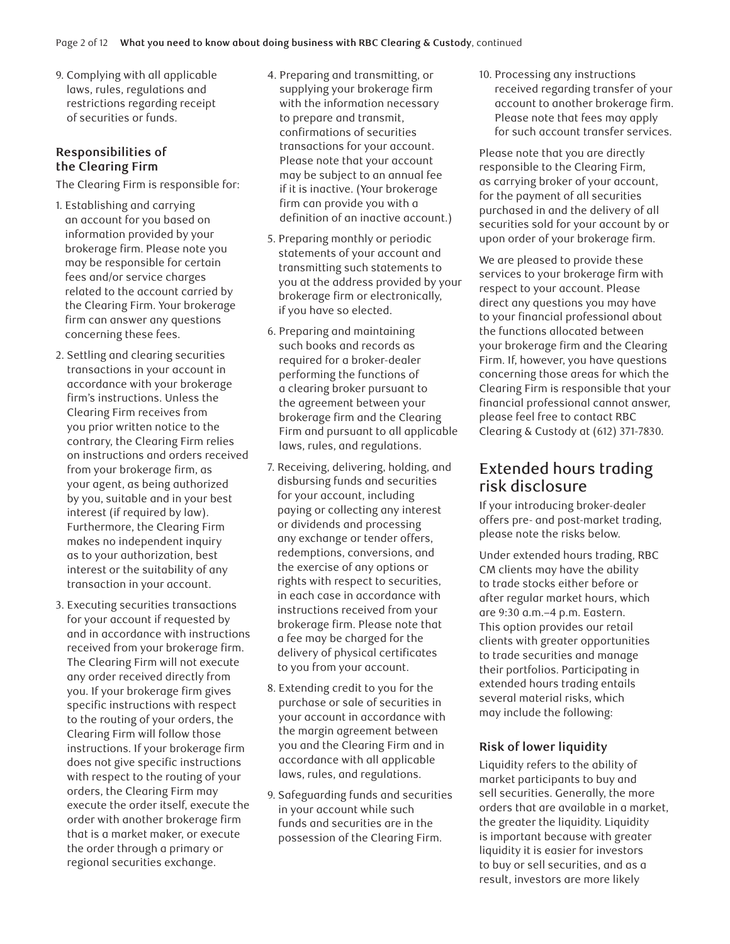9. Complying with all applicable laws, rules, regulations and restrictions regarding receipt of securities or funds.

## **Responsibilities of the Clearing Firm**

The Clearing Firm is responsible for:

- 1. Establishing and carrying an account for you based on information provided by your brokerage firm. Please note you may be responsible for certain fees and/or service charges related to the account carried by the Clearing Firm. Your brokerage firm can answer any questions concerning these fees.
- 2. Settling and clearing securities transactions in your account in accordance with your brokerage firm's instructions. Unless the Clearing Firm receives from you prior written notice to the contrary, the Clearing Firm relies on instructions and orders received from your brokerage firm, as your agent, as being authorized by you, suitable and in your best interest (if required by law). Furthermore, the Clearing Firm makes no independent inquiry as to your authorization, best interest or the suitability of any transaction in your account.
- 3. Executing securities transactions for your account if requested by and in accordance with instructions received from your brokerage firm. The Clearing Firm will not execute any order received directly from you. If your brokerage firm gives specific instructions with respect to the routing of your orders, the Clearing Firm will follow those instructions. If your brokerage firm does not give specific instructions with respect to the routing of your orders, the Clearing Firm may execute the order itself, execute the order with another brokerage firm that is a market maker, or execute the order through a primary or regional securities exchange.
- 4. Preparing and transmitting, or supplying your brokerage firm with the information necessary to prepare and transmit, confirmations of securities transactions for your account. Please note that your account may be subject to an annual fee if it is inactive. (Your brokerage firm can provide you with a definition of an inactive account.)
- 5. Preparing monthly or periodic statements of your account and transmitting such statements to you at the address provided by your brokerage firm or electronically, if you have so elected.
- 6. Preparing and maintaining such books and records as required for a broker-dealer performing the functions of a clearing broker pursuant to the agreement between your brokerage firm and the Clearing Firm and pursuant to all applicable laws, rules, and regulations.
- 7. Receiving, delivering, holding, and disbursing funds and securities for your account, including paying or collecting any interest or dividends and processing any exchange or tender offers, redemptions, conversions, and the exercise of any options or rights with respect to securities, in each case in accordance with instructions received from your brokerage firm. Please note that a fee may be charged for the delivery of physical certificates to you from your account.
- 8. Extending credit to you for the purchase or sale of securities in your account in accordance with the margin agreement between you and the Clearing Firm and in accordance with all applicable laws, rules, and regulations.
- 9. Safeguarding funds and securities in your account while such funds and securities are in the possession of the Clearing Firm.

10. Processing any instructions received regarding transfer of your account to another brokerage firm. Please note that fees may apply for such account transfer services.

Please note that you are directly responsible to the Clearing Firm, as carrying broker of your account, for the payment of all securities purchased in and the delivery of all securities sold for your account by or upon order of your brokerage firm.

We are pleased to provide these services to your brokerage firm with respect to your account. Please direct any questions you may have to your financial professional about the functions allocated between your brokerage firm and the Clearing Firm. If, however, you have questions concerning those areas for which the Clearing Firm is responsible that your financial professional cannot answer, please feel free to contact RBC Clearing & Custody at (612) 371-7830.

# Extended hours trading risk disclosure

If your introducing broker-dealer offers pre- and post-market trading, please note the risks below.

Under extended hours trading, RBC CM clients may have the ability to trade stocks either before or after regular market hours, which are 9:30 a.m.–4 p.m. Eastern. This option provides our retail clients with greater opportunities to trade securities and manage their portfolios. Participating in extended hours trading entails several material risks, which may include the following:

## **Risk of lower liquidity**

Liquidity refers to the ability of market participants to buy and sell securities. Generally, the more orders that are available in a market, the greater the liquidity. Liquidity is important because with greater liquidity it is easier for investors to buy or sell securities, and as a result, investors are more likely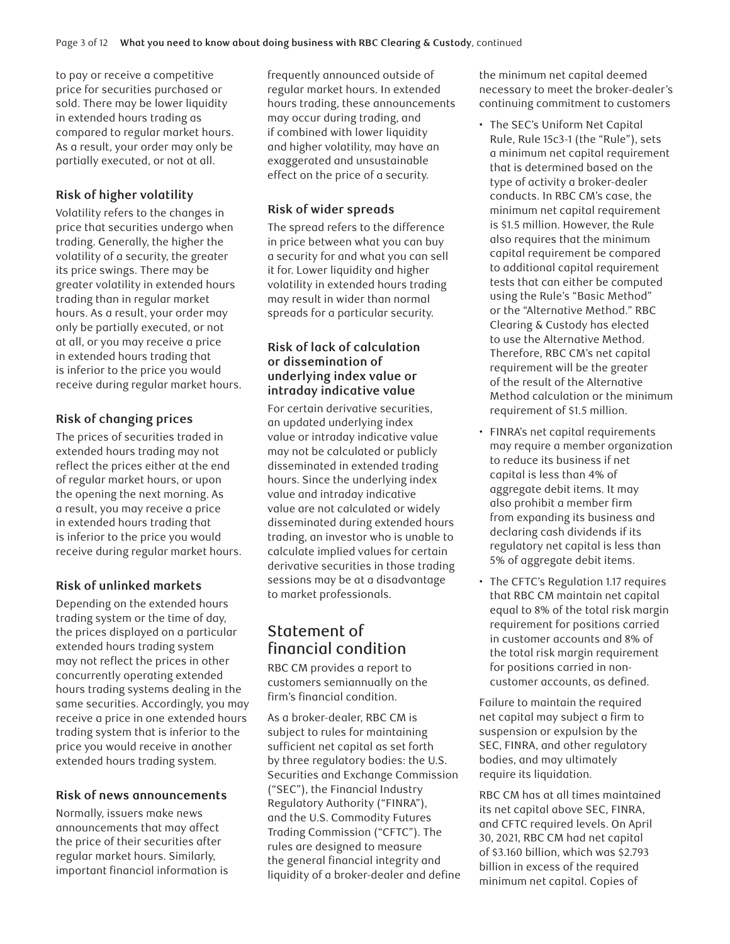to pay or receive a competitive price for securities purchased or sold. There may be lower liquidity in extended hours trading as compared to regular market hours. As a result, your order may only be partially executed, or not at all.

## **Risk of higher volatility**

Volatility refers to the changes in price that securities undergo when trading. Generally, the higher the volatility of a security, the greater its price swings. There may be greater volatility in extended hours trading than in regular market hours. As a result, your order may only be partially executed, or not at all, or you may receive a price in extended hours trading that is inferior to the price you would receive during regular market hours.

## **Risk of changing prices**

The prices of securities traded in extended hours trading may not reflect the prices either at the end of regular market hours, or upon the opening the next morning. As a result, you may receive a price in extended hours trading that is inferior to the price you would receive during regular market hours.

# **Risk of unlinked markets**

Depending on the extended hours trading system or the time of day, the prices displayed on a particular extended hours trading system may not reflect the prices in other concurrently operating extended hours trading systems dealing in the same securities. Accordingly, you may receive a price in one extended hours trading system that is inferior to the price you would receive in another extended hours trading system.

## **Risk of news announcements**

Normally, issuers make news announcements that may affect the price of their securities after regular market hours. Similarly, important financial information is frequently announced outside of regular market hours. In extended hours trading, these announcements may occur during trading, and if combined with lower liquidity and higher volatility, may have an exaggerated and unsustainable effect on the price of a security.

## **Risk of wider spreads**

The spread refers to the difference in price between what you can buy a security for and what you can sell it for. Lower liquidity and higher volatility in extended hours trading may result in wider than normal spreads for a particular security.

#### **Risk of lack of calculation or dissemination of underlying index value or intraday indicative value**

For certain derivative securities, an updated underlying index value or intraday indicative value may not be calculated or publicly disseminated in extended trading hours. Since the underlying index value and intraday indicative value are not calculated or widely disseminated during extended hours trading, an investor who is unable to calculate implied values for certain derivative securities in those trading sessions may be at a disadvantage to market professionals.

# Statement of financial condition

RBC CM provides a report to customers semiannually on the firm's financial condition.

As a broker-dealer, RBC CM is subject to rules for maintaining sufficient net capital as set forth by three regulatory bodies: the U.S. Securities and Exchange Commission ("SEC"), the Financial Industry Regulatory Authority ("FINRA"), and the U.S. Commodity Futures Trading Commission ("CFTC"). The rules are designed to measure the general financial integrity and liquidity of a broker-dealer and define the minimum net capital deemed necessary to meet the broker-dealer's continuing commitment to customers

- The SEC's Uniform Net Capital Rule, Rule 15c3-1 (the "Rule"), sets a minimum net capital requirement that is determined based on the type of activity a broker-dealer conducts. In RBC CM's case, the minimum net capital requirement is \$1.5 million. However, the Rule also requires that the minimum capital requirement be compared to additional capital requirement tests that can either be computed using the Rule's "Basic Method" or the "Alternative Method." RBC Clearing & Custody has elected to use the Alternative Method. Therefore, RBC CM's net capital requirement will be the greater of the result of the Alternative Method calculation or the minimum requirement of \$1.5 million.
- FINRA's net capital requirements may require a member organization to reduce its business if net capital is less than 4% of aggregate debit items. It may also prohibit a member firm from expanding its business and declaring cash dividends if its regulatory net capital is less than 5% of aggregate debit items.
- The CFTC's Regulation 1.17 requires that RBC CM maintain net capital equal to 8% of the total risk margin requirement for positions carried in customer accounts and 8% of the total risk margin requirement for positions carried in noncustomer accounts, as defined.

Failure to maintain the required net capital may subject a firm to suspension or expulsion by the SEC, FINRA, and other regulatory bodies, and may ultimately require its liquidation.

RBC CM has at all times maintained its net capital above SEC, FINRA, and CFTC required levels. On April 30, 2021, RBC CM had net capital of \$3.160 billion, which was \$2.793 billion in excess of the required minimum net capital. Copies of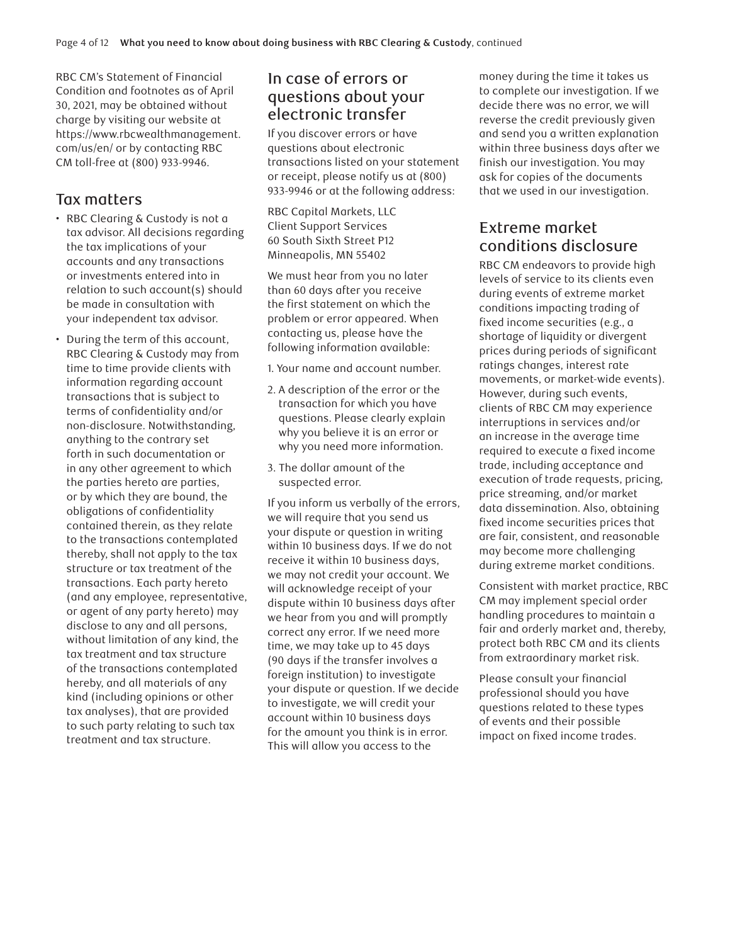RBC CM's Statement of Financial Condition and footnotes as of April 30, 2021, may be obtained without charge by visiting our website at https://www.rbcwealthmanagement. com/us/en/ or by contacting RBC CM toll-free at (800) 933-9946.

# Tax matters

- RBC Clearing & Custody is not a tax advisor. All decisions regarding the tax implications of your accounts and any transactions or investments entered into in relation to such account(s) should be made in consultation with your independent tax advisor.
- During the term of this account, RBC Clearing & Custody may from time to time provide clients with information regarding account transactions that is subject to terms of confidentiality and/or non-disclosure. Notwithstanding, anything to the contrary set forth in such documentation or in any other agreement to which the parties hereto are parties, or by which they are bound, the obligations of confidentiality contained therein, as they relate to the transactions contemplated thereby, shall not apply to the tax structure or tax treatment of the transactions. Each party hereto (and any employee, representative, or agent of any party hereto) may disclose to any and all persons, without limitation of any kind, the tax treatment and tax structure of the transactions contemplated hereby, and all materials of any kind (including opinions or other tax analyses), that are provided to such party relating to such tax treatment and tax structure.

# In case of errors or questions about your electronic transfer

If you discover errors or have questions about electronic transactions listed on your statement or receipt, please notify us at (800) 933-9946 or at the following address:

RBC Capital Markets, LLC Client Support Services 60 South Sixth Street P12 Minneapolis, MN 55402

We must hear from you no later than 60 days after you receive the first statement on which the problem or error appeared. When contacting us, please have the following information available:

- 1. Your name and account number.
- 2. A description of the error or the transaction for which you have questions. Please clearly explain why you believe it is an error or why you need more information.
- 3. The dollar amount of the suspected error.

If you inform us verbally of the errors, we will require that you send us your dispute or question in writing within 10 business days. If we do not receive it within 10 business days, we may not credit your account. We will acknowledge receipt of your dispute within 10 business days after we hear from you and will promptly correct any error. If we need more time, we may take up to 45 days (90 days if the transfer involves a foreign institution) to investigate your dispute or question. If we decide to investigate, we will credit your account within 10 business days for the amount you think is in error. This will allow you access to the

money during the time it takes us to complete our investigation. If we decide there was no error, we will reverse the credit previously given and send you a written explanation within three business days after we finish our investigation. You may ask for copies of the documents that we used in our investigation.

# Extreme market conditions disclosure

RBC CM endeavors to provide high levels of service to its clients even during events of extreme market conditions impacting trading of fixed income securities (e.g., a shortage of liquidity or divergent prices during periods of significant ratings changes, interest rate movements, or market-wide events). However, during such events, clients of RBC CM may experience interruptions in services and/or an increase in the average time required to execute a fixed income trade, including acceptance and execution of trade requests, pricing, price streaming, and/or market data dissemination. Also, obtaining fixed income securities prices that are fair, consistent, and reasonable may become more challenging during extreme market conditions.

Consistent with market practice, RBC CM may implement special order handling procedures to maintain a fair and orderly market and, thereby, protect both RBC CM and its clients from extraordinary market risk.

Please consult your financial professional should you have questions related to these types of events and their possible impact on fixed income trades.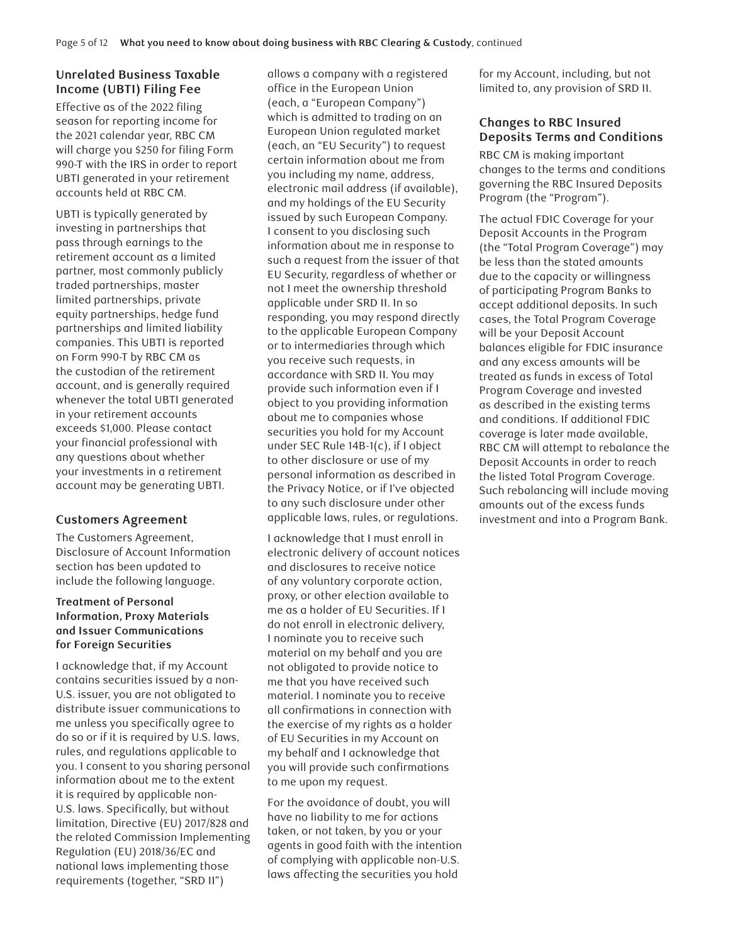# **Unrelated Business Taxable Income (UBTI) Filing Fee**

Effective as of the 2022 filing season for reporting income for the 2021 calendar year, RBC CM will charge you \$250 for filing Form 990-T with the IRS in order to report UBTI generated in your retirement accounts held at RBC CM.

UBTI is typically generated by investing in partnerships that pass through earnings to the retirement account as a limited partner, most commonly publicly traded partnerships, master limited partnerships, private equity partnerships, hedge fund partnerships and limited liability companies. This UBTI is reported on Form 990-T by RBC CM as the custodian of the retirement account, and is generally required whenever the total UBTI generated in your retirement accounts exceeds \$1,000. Please contact your financial professional with any questions about whether your investments in a retirement account may be generating UBTI.

## **Customers Agreement**

The Customers Agreement, Disclosure of Account Information section has been updated to include the following language.

#### **Treatment of Personal Information, Proxy Materials and Issuer Communications for Foreign Securities**

I acknowledge that, if my Account contains securities issued by a non-U.S. issuer, you are not obligated to distribute issuer communications to me unless you specifically agree to do so or if it is required by U.S. laws, rules, and regulations applicable to you. I consent to you sharing personal information about me to the extent it is required by applicable non-U.S. laws. Specifically, but without limitation, Directive (EU) 2017/828 and the related Commission Implementing Regulation (EU) 2018/36/EC and national laws implementing those requirements (together, "SRD II")

allows a company with a registered office in the European Union (each, a "European Company") which is admitted to trading on an European Union regulated market (each, an "EU Security") to request certain information about me from you including my name, address, electronic mail address (if available), and my holdings of the EU Security issued by such European Company. I consent to you disclosing such information about me in response to such a request from the issuer of that EU Security, regardless of whether or not I meet the ownership threshold applicable under SRD II. In so responding, you may respond directly to the applicable European Company or to intermediaries through which you receive such requests, in accordance with SRD II. You may provide such information even if I object to you providing information about me to companies whose securities you hold for my Account under SEC Rule 14B-1(c), if I object to other disclosure or use of my personal information as described in the Privacy Notice, or if I've objected to any such disclosure under other applicable laws, rules, or regulations.

I acknowledge that I must enroll in electronic delivery of account notices and disclosures to receive notice of any voluntary corporate action, proxy, or other election available to me as a holder of EU Securities. If I do not enroll in electronic delivery, I nominate you to receive such material on my behalf and you are not obligated to provide notice to me that you have received such material. I nominate you to receive all confirmations in connection with the exercise of my rights as a holder of EU Securities in my Account on my behalf and I acknowledge that you will provide such confirmations to me upon my request.

For the avoidance of doubt, you will have no liability to me for actions taken, or not taken, by you or your agents in good faith with the intention of complying with applicable non-U.S. laws affecting the securities you hold

for my Account, including, but not limited to, any provision of SRD II.

## **Changes to RBC Insured Deposits Terms and Conditions**

RBC CM is making important changes to the terms and conditions governing the RBC Insured Deposits Program (the "Program").

The actual FDIC Coverage for your Deposit Accounts in the Program (the "Total Program Coverage") may be less than the stated amounts due to the capacity or willingness of participating Program Banks to accept additional deposits. In such cases, the Total Program Coverage will be your Deposit Account balances eligible for FDIC insurance and any excess amounts will be treated as funds in excess of Total Program Coverage and invested as described in the existing terms and conditions. If additional FDIC coverage is later made available, RBC CM will attempt to rebalance the Deposit Accounts in order to reach the listed Total Program Coverage. Such rebalancing will include moving amounts out of the excess funds investment and into a Program Bank.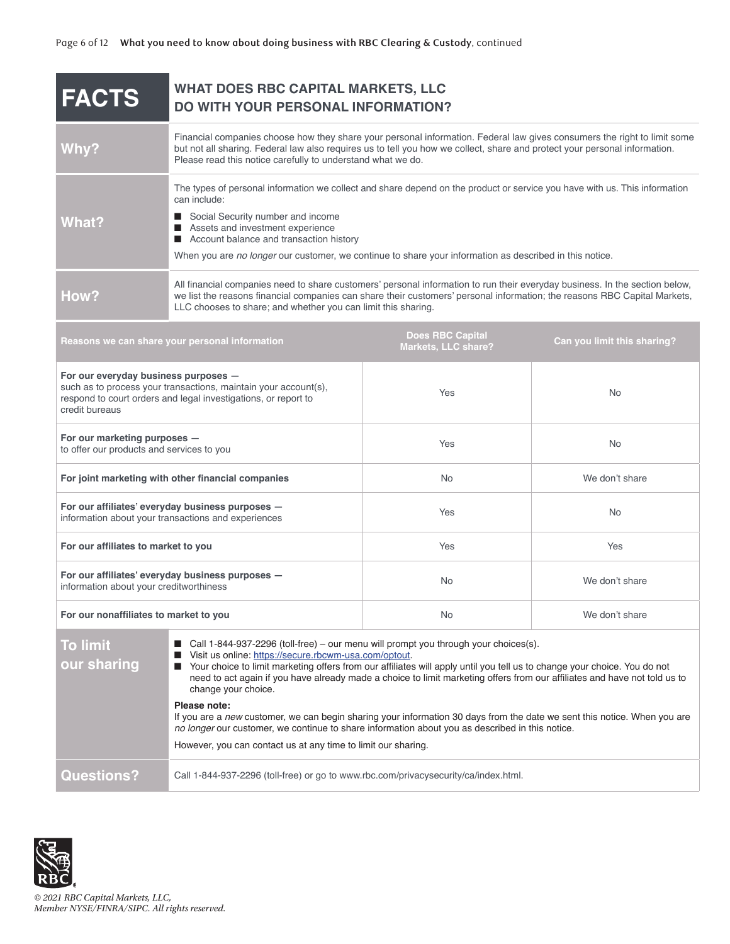| <b>FACTS</b>                                                                                                                                                                                                                                                                                                                                                                                                                                                                                                                                                                                                                                                                                                                                                                    | <b>WHAT DOES RBC CAPITAL MARKETS, LLC</b><br>DO WITH YOUR PERSONAL INFORMATION?                                                                                                                                                                                                                                                                                             |                                                |                             |
|---------------------------------------------------------------------------------------------------------------------------------------------------------------------------------------------------------------------------------------------------------------------------------------------------------------------------------------------------------------------------------------------------------------------------------------------------------------------------------------------------------------------------------------------------------------------------------------------------------------------------------------------------------------------------------------------------------------------------------------------------------------------------------|-----------------------------------------------------------------------------------------------------------------------------------------------------------------------------------------------------------------------------------------------------------------------------------------------------------------------------------------------------------------------------|------------------------------------------------|-----------------------------|
| Why?                                                                                                                                                                                                                                                                                                                                                                                                                                                                                                                                                                                                                                                                                                                                                                            | Financial companies choose how they share your personal information. Federal law gives consumers the right to limit some<br>but not all sharing. Federal law also requires us to tell you how we collect, share and protect your personal information.<br>Please read this notice carefully to understand what we do.                                                       |                                                |                             |
| What?                                                                                                                                                                                                                                                                                                                                                                                                                                                                                                                                                                                                                                                                                                                                                                           | The types of personal information we collect and share depend on the product or service you have with us. This information<br>can include:<br>Social Security number and income<br>Assets and investment experience<br>■ Account balance and transaction history<br>When you are no longer our customer, we continue to share your information as described in this notice. |                                                |                             |
| How?                                                                                                                                                                                                                                                                                                                                                                                                                                                                                                                                                                                                                                                                                                                                                                            | All financial companies need to share customers' personal information to run their everyday business. In the section below,<br>we list the reasons financial companies can share their customers' personal information; the reasons RBC Capital Markets,<br>LLC chooses to share; and whether you can limit this sharing.                                                   |                                                |                             |
| Reasons we can share your personal information                                                                                                                                                                                                                                                                                                                                                                                                                                                                                                                                                                                                                                                                                                                                  |                                                                                                                                                                                                                                                                                                                                                                             | <b>Does RBC Capital</b><br>Markets, LLC share? | Can you limit this sharing? |
| For our everyday business purposes -<br>such as to process your transactions, maintain your account(s),<br>respond to court orders and legal investigations, or report to<br>credit bureaus                                                                                                                                                                                                                                                                                                                                                                                                                                                                                                                                                                                     |                                                                                                                                                                                                                                                                                                                                                                             | Yes                                            | <b>No</b>                   |
| For our marketing purposes -<br>to offer our products and services to you                                                                                                                                                                                                                                                                                                                                                                                                                                                                                                                                                                                                                                                                                                       |                                                                                                                                                                                                                                                                                                                                                                             | Yes                                            | <b>No</b>                   |
| For joint marketing with other financial companies                                                                                                                                                                                                                                                                                                                                                                                                                                                                                                                                                                                                                                                                                                                              |                                                                                                                                                                                                                                                                                                                                                                             | <b>No</b>                                      | We don't share              |
| For our affiliates' everyday business purposes -<br>information about your transactions and experiences                                                                                                                                                                                                                                                                                                                                                                                                                                                                                                                                                                                                                                                                         |                                                                                                                                                                                                                                                                                                                                                                             | Yes                                            | <b>No</b>                   |
| For our affiliates to market to you                                                                                                                                                                                                                                                                                                                                                                                                                                                                                                                                                                                                                                                                                                                                             |                                                                                                                                                                                                                                                                                                                                                                             | Yes                                            | Yes                         |
| For our affiliates' everyday business purposes -<br>information about your creditworthiness                                                                                                                                                                                                                                                                                                                                                                                                                                                                                                                                                                                                                                                                                     |                                                                                                                                                                                                                                                                                                                                                                             | <b>No</b>                                      | We don't share              |
| For our nonaffiliates to market to you                                                                                                                                                                                                                                                                                                                                                                                                                                                                                                                                                                                                                                                                                                                                          |                                                                                                                                                                                                                                                                                                                                                                             | No                                             | We don't share              |
| ■ Call 1-844-937-2296 (toll-free) – our menu will prompt you through your choices(s).<br><b>To limit</b><br>Visit us online: https://secure.rbcwm-usa.com/optout<br>our sharing<br>Your choice to limit marketing offers from our affiliates will apply until you tell us to change your choice. You do not<br>need to act again if you have already made a choice to limit marketing offers from our affiliates and have not told us to<br>change your choice.<br>Please note:<br>If you are a new customer, we can begin sharing your information 30 days from the date we sent this notice. When you are<br>no longer our customer, we continue to share information about you as described in this notice.<br>However, you can contact us at any time to limit our sharing. |                                                                                                                                                                                                                                                                                                                                                                             |                                                |                             |
| <b>Questions?</b>                                                                                                                                                                                                                                                                                                                                                                                                                                                                                                                                                                                                                                                                                                                                                               | Call 1-844-937-2296 (toll-free) or go to www.rbc.com/privacysecurity/ca/index.html.                                                                                                                                                                                                                                                                                         |                                                |                             |

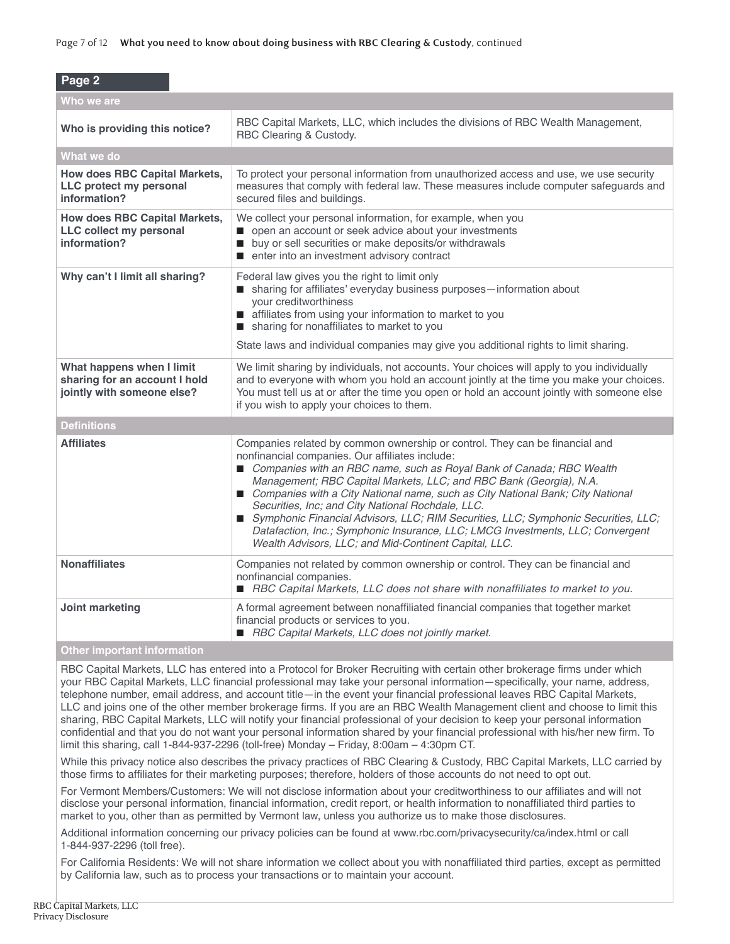| Page 2                                                                                   |                                                                                                                                                                                                                                                                                                                                                                                                                                                                                                                                                                                                                                                      |  |  |  |
|------------------------------------------------------------------------------------------|------------------------------------------------------------------------------------------------------------------------------------------------------------------------------------------------------------------------------------------------------------------------------------------------------------------------------------------------------------------------------------------------------------------------------------------------------------------------------------------------------------------------------------------------------------------------------------------------------------------------------------------------------|--|--|--|
| Who we are                                                                               |                                                                                                                                                                                                                                                                                                                                                                                                                                                                                                                                                                                                                                                      |  |  |  |
| Who is providing this notice?                                                            | RBC Capital Markets, LLC, which includes the divisions of RBC Wealth Management,<br>RBC Clearing & Custody.                                                                                                                                                                                                                                                                                                                                                                                                                                                                                                                                          |  |  |  |
| What we do                                                                               |                                                                                                                                                                                                                                                                                                                                                                                                                                                                                                                                                                                                                                                      |  |  |  |
| <b>How does RBC Capital Markets,</b><br>LLC protect my personal<br>information?          | To protect your personal information from unauthorized access and use, we use security<br>measures that comply with federal law. These measures include computer safeguards and<br>secured files and buildings.                                                                                                                                                                                                                                                                                                                                                                                                                                      |  |  |  |
| <b>How does RBC Capital Markets,</b><br>LLC collect my personal<br>information?          | We collect your personal information, for example, when you<br>open an account or seek advice about your investments<br>buy or sell securities or make deposits/or withdrawals<br>■ enter into an investment advisory contract                                                                                                                                                                                                                                                                                                                                                                                                                       |  |  |  |
| Why can't I limit all sharing?                                                           | Federal law gives you the right to limit only<br>sharing for affiliates' everyday business purposes-information about<br>your creditworthiness<br>affiliates from using your information to market to you<br>sharing for nonaffiliates to market to you<br>State laws and individual companies may give you additional rights to limit sharing.                                                                                                                                                                                                                                                                                                      |  |  |  |
| What happens when I limit<br>sharing for an account I hold<br>jointly with someone else? | We limit sharing by individuals, not accounts. Your choices will apply to you individually<br>and to everyone with whom you hold an account jointly at the time you make your choices.<br>You must tell us at or after the time you open or hold an account jointly with someone else<br>if you wish to apply your choices to them.                                                                                                                                                                                                                                                                                                                  |  |  |  |
| <b>Definitions</b>                                                                       |                                                                                                                                                                                                                                                                                                                                                                                                                                                                                                                                                                                                                                                      |  |  |  |
| <b>Affiliates</b>                                                                        | Companies related by common ownership or control. They can be financial and<br>nonfinancial companies. Our affiliates include:<br>Companies with an RBC name, such as Royal Bank of Canada; RBC Wealth<br>Management; RBC Capital Markets, LLC; and RBC Bank (Georgia), N.A.<br>Companies with a City National name, such as City National Bank; City National<br>Securities, Inc; and City National Rochdale, LLC.<br>Symphonic Financial Advisors, LLC; RIM Securities, LLC; Symphonic Securities, LLC;<br>Datafaction, Inc.; Symphonic Insurance, LLC; LMCG Investments, LLC; Convergent<br>Wealth Advisors, LLC; and Mid-Continent Capital, LLC. |  |  |  |
| <b>Nonaffiliates</b>                                                                     | Companies not related by common ownership or control. They can be financial and<br>nonfinancial companies.<br>■ RBC Capital Markets, LLC does not share with nonaffiliates to market to you.                                                                                                                                                                                                                                                                                                                                                                                                                                                         |  |  |  |
| Joint marketing                                                                          | A formal agreement between nonaffiliated financial companies that together market<br>financial products or services to you.<br>RBC Capital Markets, LLC does not jointly market.                                                                                                                                                                                                                                                                                                                                                                                                                                                                     |  |  |  |

#### **Other important information**

RBC Capital Markets, LLC has entered into a Protocol for Broker Recruiting with certain other brokerage firms under which your RBC Capital Markets, LLC financial professional may take your personal information—specifically, your name, address, telephone number, email address, and account title—in the event your financial professional leaves RBC Capital Markets, LLC and joins one of the other member brokerage firms. If you are an RBC Wealth Management client and choose to limit this sharing, RBC Capital Markets, LLC will notify your financial professional of your decision to keep your personal information confidential and that you do not want your personal information shared by your financial professional with his/her new firm. To limit this sharing, call 1-844-937-2296 (toll-free) Monday – Friday, 8:00am – 4:30pm CT.

While this privacy notice also describes the privacy practices of RBC Clearing & Custody, RBC Capital Markets, LLC carried by those firms to affiliates for their marketing purposes; therefore, holders of those accounts do not need to opt out.

For Vermont Members/Customers: We will not disclose information about your creditworthiness to our affiliates and will not disclose your personal information, financial information, credit report, or health information to nonaffiliated third parties to market to you, other than as permitted by Vermont law, unless you authorize us to make those disclosures.

Additional information concerning our privacy policies can be found at www.rbc.com/privacysecurity/ca/index.html or call 1-844-937-2296 (toll free).

For California Residents: We will not share information we collect about you with nonaffiliated third parties, except as permitted by California law, such as to process your transactions or to maintain your account.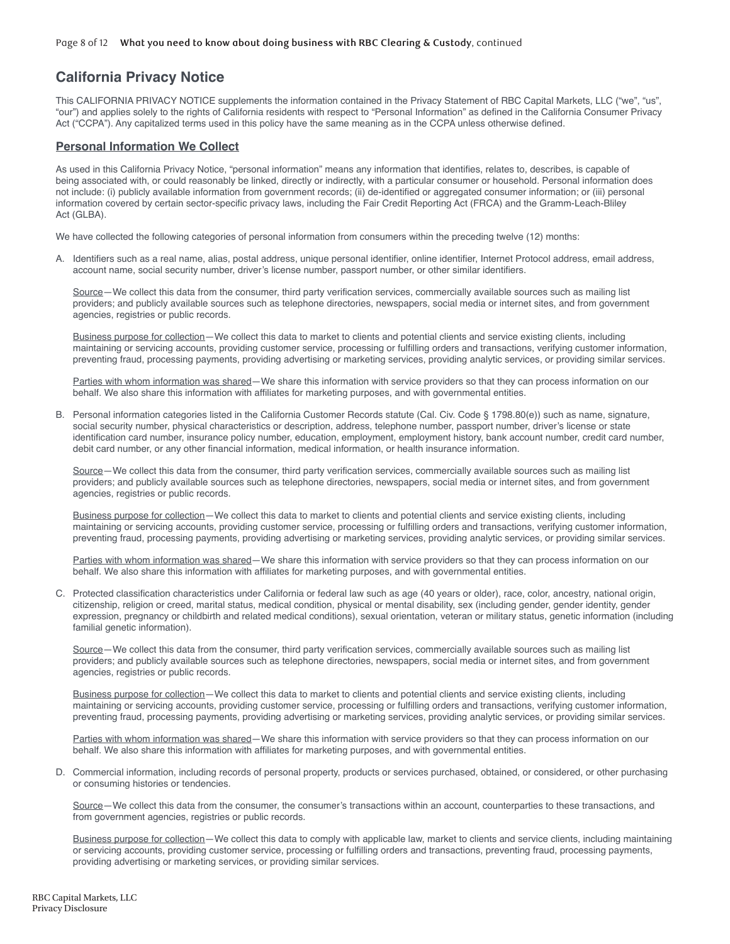# **California Privacy Notice**

This CALIFORNIA PRIVACY NOTICE supplements the information contained in the Privacy Statement of RBC Capital Markets, LLC ("we", "us", "our") and applies solely to the rights of California residents with respect to "Personal Information" as defined in the California Consumer Privacy Act ("CCPA"). Any capitalized terms used in this policy have the same meaning as in the CCPA unless otherwise defined.

#### **Personal Information We Collect**

As used in this California Privacy Notice, "personal information" means any information that identifies, relates to, describes, is capable of being associated with, or could reasonably be linked, directly or indirectly, with a particular consumer or household. Personal information does not include: (i) publicly available information from government records; (ii) de-identified or aggregated consumer information; or (iii) personal information covered by certain sector-specific privacy laws, including the Fair Credit Reporting Act (FRCA) and the Gramm-Leach-Bliley Act (GLBA).

We have collected the following categories of personal information from consumers within the preceding twelve (12) months:

A. Identifiers such as a real name, alias, postal address, unique personal identifier, online identifier, Internet Protocol address, email address, account name, social security number, driver's license number, passport number, or other similar identifiers.

 Source—We collect this data from the consumer, third party verification services, commercially available sources such as mailing list providers; and publicly available sources such as telephone directories, newspapers, social media or internet sites, and from government agencies, registries or public records.

 Business purpose for collection—We collect this data to market to clients and potential clients and service existing clients, including maintaining or servicing accounts, providing customer service, processing or fulfilling orders and transactions, verifying customer information, preventing fraud, processing payments, providing advertising or marketing services, providing analytic services, or providing similar services.

 Parties with whom information was shared—We share this information with service providers so that they can process information on our behalf. We also share this information with affiliates for marketing purposes, and with governmental entities.

B. Personal information categories listed in the California Customer Records statute (Cal. Civ. Code § 1798.80(e)) such as name, signature, social security number, physical characteristics or description, address, telephone number, passport number, driver's license or state identification card number, insurance policy number, education, employment, employment history, bank account number, credit card number, debit card number, or any other financial information, medical information, or health insurance information.

 Source—We collect this data from the consumer, third party verification services, commercially available sources such as mailing list providers; and publicly available sources such as telephone directories, newspapers, social media or internet sites, and from government agencies, registries or public records.

 Business purpose for collection—We collect this data to market to clients and potential clients and service existing clients, including maintaining or servicing accounts, providing customer service, processing or fulfilling orders and transactions, verifying customer information, preventing fraud, processing payments, providing advertising or marketing services, providing analytic services, or providing similar services.

 Parties with whom information was shared—We share this information with service providers so that they can process information on our behalf. We also share this information with affiliates for marketing purposes, and with governmental entities.

C. Protected classification characteristics under California or federal law such as age (40 years or older), race, color, ancestry, national origin, citizenship, religion or creed, marital status, medical condition, physical or mental disability, sex (including gender, gender identity, gender expression, pregnancy or childbirth and related medical conditions), sexual orientation, veteran or military status, genetic information (including familial genetic information).

 Source—We collect this data from the consumer, third party verification services, commercially available sources such as mailing list providers; and publicly available sources such as telephone directories, newspapers, social media or internet sites, and from government agencies, registries or public records.

 Business purpose for collection—We collect this data to market to clients and potential clients and service existing clients, including maintaining or servicing accounts, providing customer service, processing or fulfilling orders and transactions, verifying customer information, preventing fraud, processing payments, providing advertising or marketing services, providing analytic services, or providing similar services.

 Parties with whom information was shared—We share this information with service providers so that they can process information on our behalf. We also share this information with affiliates for marketing purposes, and with governmental entities.

D. Commercial information, including records of personal property, products or services purchased, obtained, or considered, or other purchasing or consuming histories or tendencies.

 Source—We collect this data from the consumer, the consumer's transactions within an account, counterparties to these transactions, and from government agencies, registries or public records.

Business purpose for collection-We collect this data to comply with applicable law, market to clients and service clients, including maintaining or servicing accounts, providing customer service, processing or fulfilling orders and transactions, preventing fraud, processing payments, providing advertising or marketing services, or providing similar services.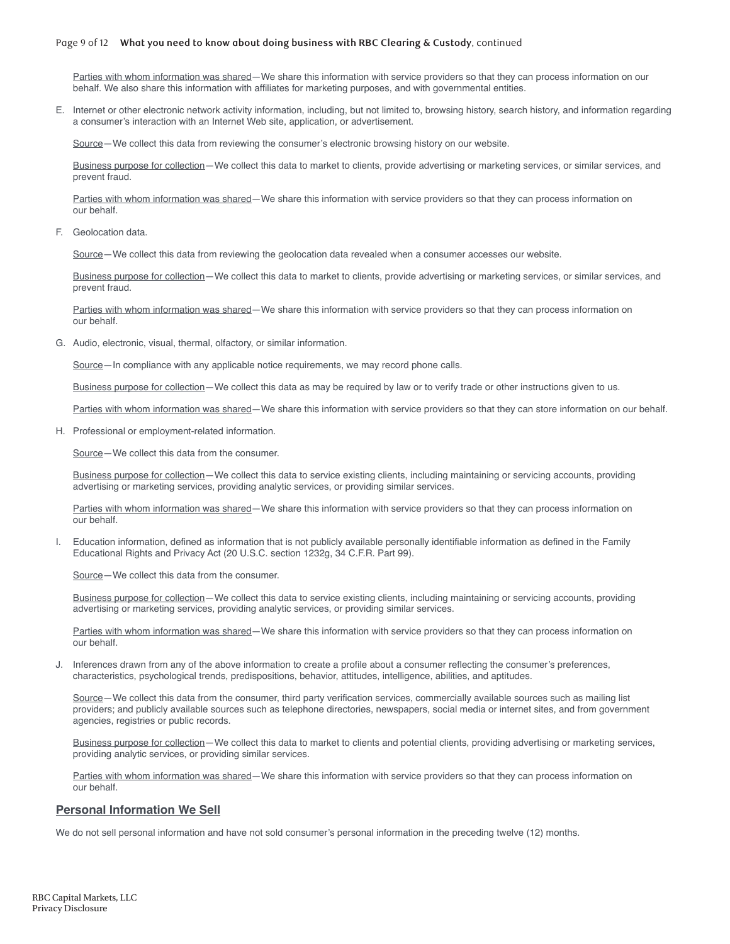#### Page 9 of 12 **What you need to know about doing business with RBC Clearing & Custody**, continued

 Parties with whom information was shared—We share this information with service providers so that they can process information on our behalf. We also share this information with affiliates for marketing purposes, and with governmental entities.

E. Internet or other electronic network activity information, including, but not limited to, browsing history, search history, and information regarding a consumer's interaction with an Internet Web site, application, or advertisement.

Source—We collect this data from reviewing the consumer's electronic browsing history on our website.

 Business purpose for collection—We collect this data to market to clients, provide advertising or marketing services, or similar services, and prevent fraud.

 Parties with whom information was shared—We share this information with service providers so that they can process information on our behalf.

F. Geolocation data.

Source—We collect this data from reviewing the geolocation data revealed when a consumer accesses our website.

 Business purpose for collection—We collect this data to market to clients, provide advertising or marketing services, or similar services, and prevent fraud.

 Parties with whom information was shared—We share this information with service providers so that they can process information on our behalf.

G. Audio, electronic, visual, thermal, olfactory, or similar information.

Source—In compliance with any applicable notice requirements, we may record phone calls.

Business purpose for collection—We collect this data as may be required by law or to verify trade or other instructions given to us.

Parties with whom information was shared—We share this information with service providers so that they can store information on our behalf.

H. Professional or employment-related information.

Source—We collect this data from the consumer.

 Business purpose for collection—We collect this data to service existing clients, including maintaining or servicing accounts, providing advertising or marketing services, providing analytic services, or providing similar services.

Parties with whom information was shared—We share this information with service providers so that they can process information on our behalf.

I. Education information, defined as information that is not publicly available personally identifiable information as defined in the Family Educational Rights and Privacy Act (20 U.S.C. section 1232g, 34 C.F.R. Part 99).

Source—We collect this data from the consumer.

 Business purpose for collection—We collect this data to service existing clients, including maintaining or servicing accounts, providing advertising or marketing services, providing analytic services, or providing similar services.

Parties with whom information was shared—We share this information with service providers so that they can process information on our behalf.

J. Inferences drawn from any of the above information to create a profile about a consumer reflecting the consumer's preferences, characteristics, psychological trends, predispositions, behavior, attitudes, intelligence, abilities, and aptitudes.

 Source—We collect this data from the consumer, third party verification services, commercially available sources such as mailing list providers; and publicly available sources such as telephone directories, newspapers, social media or internet sites, and from government agencies, registries or public records.

 Business purpose for collection—We collect this data to market to clients and potential clients, providing advertising or marketing services, providing analytic services, or providing similar services.

Parties with whom information was shared—We share this information with service providers so that they can process information on our behalf.

#### **Personal Information We Sell**

We do not sell personal information and have not sold consumer's personal information in the preceding twelve (12) months.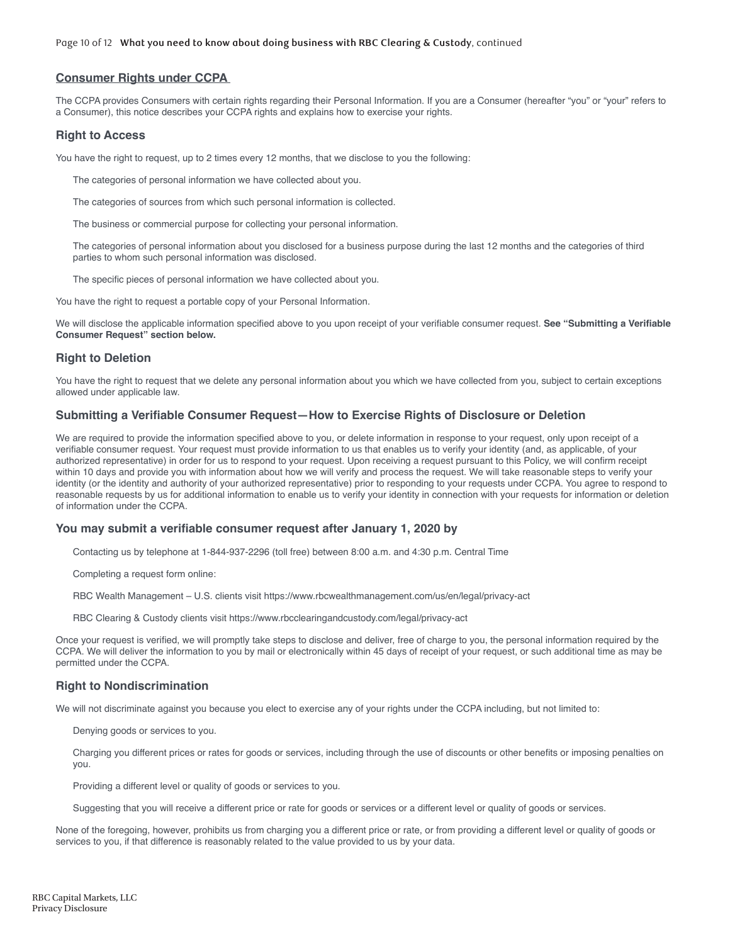#### **Consumer Rights under CCPA**

The CCPA provides Consumers with certain rights regarding their Personal Information. If you are a Consumer (hereafter "you" or "your" refers to a Consumer), this notice describes your CCPA rights and explains how to exercise your rights.

#### **Right to Access**

You have the right to request, up to 2 times every 12 months, that we disclose to you the following:

The categories of personal information we have collected about you.

The categories of sources from which such personal information is collected.

The business or commercial purpose for collecting your personal information.

The categories of personal information about you disclosed for a business purpose during the last 12 months and the categories of third parties to whom such personal information was disclosed.

The specific pieces of personal information we have collected about you.

You have the right to request a portable copy of your Personal Information.

We will disclose the applicable information specified above to you upon receipt of your verifiable consumer request. **See "Submitting a Verifiable Consumer Request" section below.**

#### **Right to Deletion**

You have the right to request that we delete any personal information about you which we have collected from you, subject to certain exceptions allowed under applicable law.

#### **Submitting a Verifiable Consumer Request—How to Exercise Rights of Disclosure or Deletion**

We are required to provide the information specified above to you, or delete information in response to your request, only upon receipt of a verifiable consumer request. Your request must provide information to us that enables us to verify your identity (and, as applicable, of your authorized representative) in order for us to respond to your request. Upon receiving a request pursuant to this Policy, we will confirm receipt within 10 days and provide you with information about how we will verify and process the request. We will take reasonable steps to verify your identity (or the identity and authority of your authorized representative) prior to responding to your requests under CCPA. You agree to respond to reasonable requests by us for additional information to enable us to verify your identity in connection with your requests for information or deletion of information under the CCPA.

#### **You may submit a verifiable consumer request after January 1, 2020 by**

Contacting us by telephone at 1-844-937-2296 (toll free) between 8:00 a.m. and 4:30 p.m. Central Time

Completing a request form online:

RBC Wealth Management – U.S. clients visit https://www.rbcwealthmanagement.com/us/en/legal/privacy-act

RBC Clearing & Custody clients visit https://www.rbcclearingandcustody.com/legal/privacy-act

Once your request is verified, we will promptly take steps to disclose and deliver, free of charge to you, the personal information required by the CCPA. We will deliver the information to you by mail or electronically within 45 days of receipt of your request, or such additional time as may be permitted under the CCPA.

#### **Right to Nondiscrimination**

We will not discriminate against you because you elect to exercise any of your rights under the CCPA including, but not limited to:

Denying goods or services to you.

Charging you different prices or rates for goods or services, including through the use of discounts or other benefits or imposing penalties on you.

Providing a different level or quality of goods or services to you.

Suggesting that you will receive a different price or rate for goods or services or a different level or quality of goods or services.

None of the foregoing, however, prohibits us from charging you a different price or rate, or from providing a different level or quality of goods or services to you, if that difference is reasonably related to the value provided to us by your data.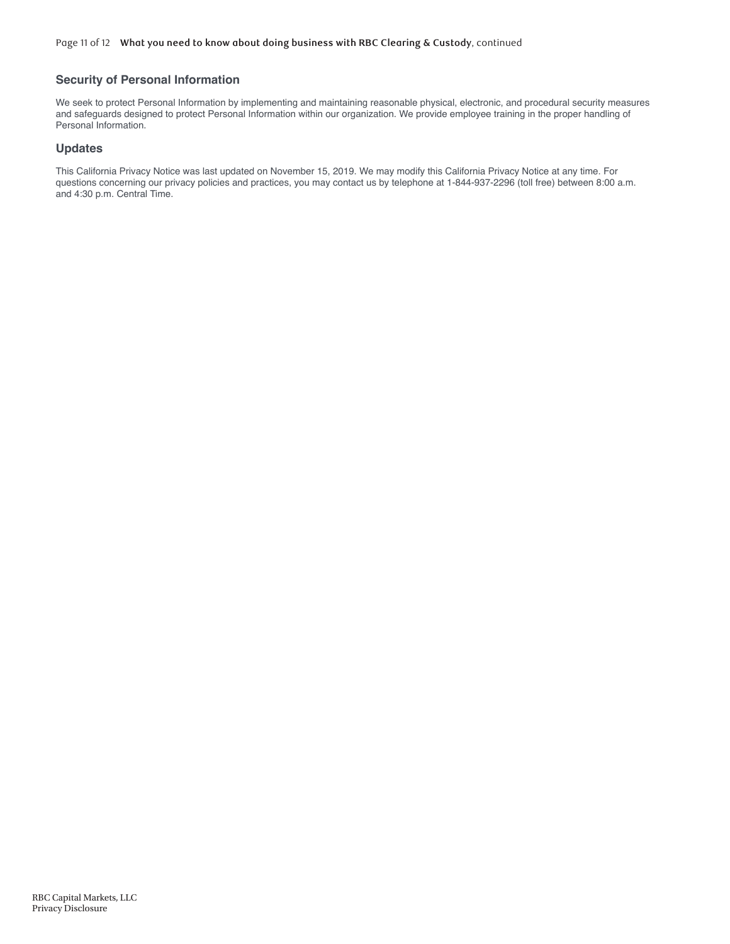#### **Security of Personal Information**

We seek to protect Personal Information by implementing and maintaining reasonable physical, electronic, and procedural security measures and safeguards designed to protect Personal Information within our organization. We provide employee training in the proper handling of Personal Information.

#### **Updates**

This California Privacy Notice was last updated on November 15, 2019. We may modify this California Privacy Notice at any time. For questions concerning our privacy policies and practices, you may contact us by telephone at 1-844-937-2296 (toll free) between 8:00 a.m. and 4:30 p.m. Central Time.